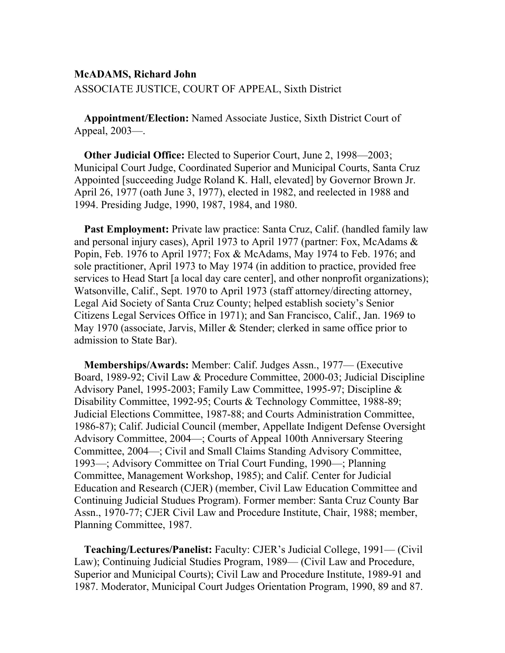## **McADAMS, Richard John**

ASSOCIATE JUSTICE, COURT OF APPEAL, Sixth District

**Appointment/Election:** Named Associate Justice, Sixth District Court of Appeal, 2003—.

**Other Judicial Office:** Elected to Superior Court, June 2, 1998—2003; Municipal Court Judge, Coordinated Superior and Municipal Courts, Santa Cruz Appointed [succeeding Judge Roland K. Hall, elevated] by Governor Brown Jr. April 26, 1977 (oath June 3, 1977), elected in 1982, and reelected in 1988 and 1994. Presiding Judge, 1990, 1987, 1984, and 1980.

**Past Employment:** Private law practice: Santa Cruz, Calif. (handled family law and personal injury cases), April 1973 to April 1977 (partner: Fox, McAdams & Popin, Feb. 1976 to April 1977; Fox & McAdams, May 1974 to Feb. 1976; and sole practitioner, April 1973 to May 1974 (in addition to practice, provided free services to Head Start [a local day care center], and other nonprofit organizations); Watsonville, Calif., Sept. 1970 to April 1973 (staff attorney/directing attorney, Legal Aid Society of Santa Cruz County; helped establish society's Senior Citizens Legal Services Office in 1971); and San Francisco, Calif., Jan. 1969 to May 1970 (associate, Jarvis, Miller & Stender; clerked in same office prior to admission to State Bar).

**Memberships/Awards:** Member: Calif. Judges Assn., 1977— (Executive Board, 1989-92; Civil Law & Procedure Committee, 2000-03; Judicial Discipline Advisory Panel, 1995-2003; Family Law Committee, 1995-97; Discipline & Disability Committee, 1992-95; Courts & Technology Committee, 1988-89; Judicial Elections Committee, 1987-88; and Courts Administration Committee, 1986-87); Calif. Judicial Council (member, Appellate Indigent Defense Oversight Advisory Committee, 2004—; Courts of Appeal 100th Anniversary Steering Committee, 2004—; Civil and Small Claims Standing Advisory Committee, 1993—; Advisory Committee on Trial Court Funding, 1990—; Planning Committee, Management Workshop, 1985); and Calif. Center for Judicial Education and Research (CJER) (member, Civil Law Education Committee and Continuing Judicial Studues Program). Former member: Santa Cruz County Bar Assn., 1970-77; CJER Civil Law and Procedure Institute, Chair, 1988; member, Planning Committee, 1987.

**Teaching/Lectures/Panelist:** Faculty: CJER's Judicial College, 1991— (Civil Law); Continuing Judicial Studies Program, 1989— (Civil Law and Procedure, Superior and Municipal Courts); Civil Law and Procedure Institute, 1989-91 and 1987. Moderator, Municipal Court Judges Orientation Program, 1990, 89 and 87.